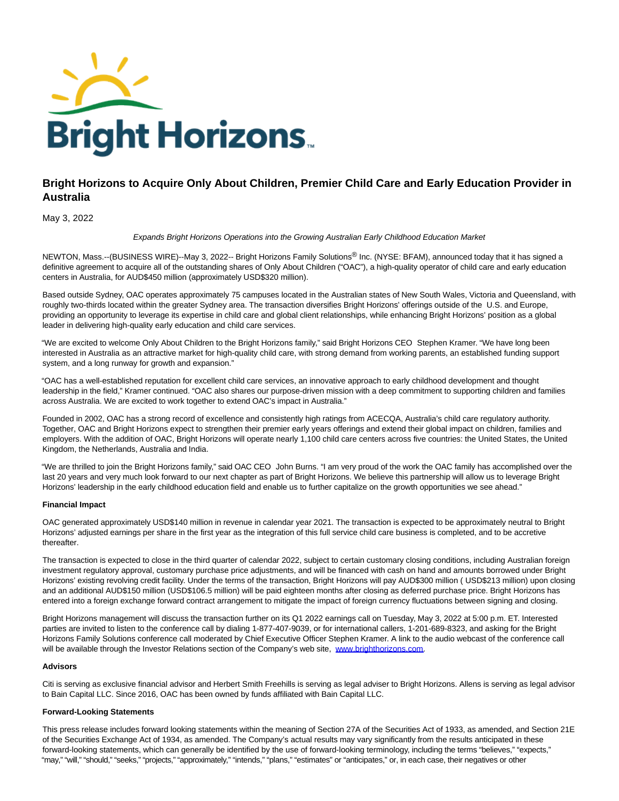

# **Bright Horizons to Acquire Only About Children, Premier Child Care and Early Education Provider in Australia**

## May 3, 2022

Expands Bright Horizons Operations into the Growing Australian Early Childhood Education Market

NEWTON, Mass.--(BUSINESS WIRE)--May 3, 2022-- Bright Horizons Family Solutions<sup>®</sup> Inc. (NYSE: BFAM), announced today that it has signed a definitive agreement to acquire all of the outstanding shares of Only About Children ("OAC"), a high-quality operator of child care and early education centers in Australia, for AUD\$450 million (approximately USD\$320 million).

Based outside Sydney, OAC operates approximately 75 campuses located in the Australian states of New South Wales, Victoria and Queensland, with roughly two-thirds located within the greater Sydney area. The transaction diversifies Bright Horizons' offerings outside of the U.S. and Europe, providing an opportunity to leverage its expertise in child care and global client relationships, while enhancing Bright Horizons' position as a global leader in delivering high-quality early education and child care services.

"We are excited to welcome Only About Children to the Bright Horizons family," said Bright Horizons CEO Stephen Kramer. "We have long been interested in Australia as an attractive market for high-quality child care, with strong demand from working parents, an established funding support system, and a long runway for growth and expansion."

"OAC has a well-established reputation for excellent child care services, an innovative approach to early childhood development and thought leadership in the field," Kramer continued. "OAC also shares our purpose-driven mission with a deep commitment to supporting children and families across Australia. We are excited to work together to extend OAC's impact in Australia."

Founded in 2002, OAC has a strong record of excellence and consistently high ratings from ACECQA, Australia's child care regulatory authority. Together, OAC and Bright Horizons expect to strengthen their premier early years offerings and extend their global impact on children, families and employers. With the addition of OAC, Bright Horizons will operate nearly 1,100 child care centers across five countries: the United States, the United Kingdom, the Netherlands, Australia and India.

"We are thrilled to join the Bright Horizons family," said OAC CEO John Burns. "I am very proud of the work the OAC family has accomplished over the last 20 years and very much look forward to our next chapter as part of Bright Horizons. We believe this partnership will allow us to leverage Bright Horizons' leadership in the early childhood education field and enable us to further capitalize on the growth opportunities we see ahead."

## **Financial Impact**

OAC generated approximately USD\$140 million in revenue in calendar year 2021. The transaction is expected to be approximately neutral to Bright Horizons' adjusted earnings per share in the first year as the integration of this full service child care business is completed, and to be accretive thereafter.

The transaction is expected to close in the third quarter of calendar 2022, subject to certain customary closing conditions, including Australian foreign investment regulatory approval, customary purchase price adjustments, and will be financed with cash on hand and amounts borrowed under Bright Horizons' existing revolving credit facility. Under the terms of the transaction, Bright Horizons will pay AUD\$300 million ( USD\$213 million) upon closing and an additional AUD\$150 million (USD\$106.5 million) will be paid eighteen months after closing as deferred purchase price. Bright Horizons has entered into a foreign exchange forward contract arrangement to mitigate the impact of foreign currency fluctuations between signing and closing.

Bright Horizons management will discuss the transaction further on its Q1 2022 earnings call on Tuesday, May 3, 2022 at 5:00 p.m. ET. Interested parties are invited to listen to the conference call by dialing 1-877-407-9039, or for international callers, 1-201-689-8323, and asking for the Bright Horizons Family Solutions conference call moderated by Chief Executive Officer Stephen Kramer. A link to the audio webcast of the conference call will be available through the Investor Relations section of the Company's web site, [www.brighthorizons.com.](https://cts.businesswire.com/ct/CT?id=smartlink&url=http%3A%2F%2Fwww.brighthorizons.com&esheet=52706671&newsitemid=20220503006049&lan=en-US&anchor=www.brighthorizons.com&index=1&md5=f8299d483534421dcbfe17b59aeaa567)

### **Advisors**

Citi is serving as exclusive financial advisor and Herbert Smith Freehills is serving as legal adviser to Bright Horizons. Allens is serving as legal advisor to Bain Capital LLC. Since 2016, OAC has been owned by funds affiliated with Bain Capital LLC.

## **Forward-Looking Statements**

This press release includes forward looking statements within the meaning of Section 27A of the Securities Act of 1933, as amended, and Section 21E of the Securities Exchange Act of 1934, as amended. The Company's actual results may vary significantly from the results anticipated in these forward-looking statements, which can generally be identified by the use of forward-looking terminology, including the terms "believes," "expects," "may," "will," "should," "seeks," "projects," "approximately," "intends," "plans," "estimates" or "anticipates," or, in each case, their negatives or other